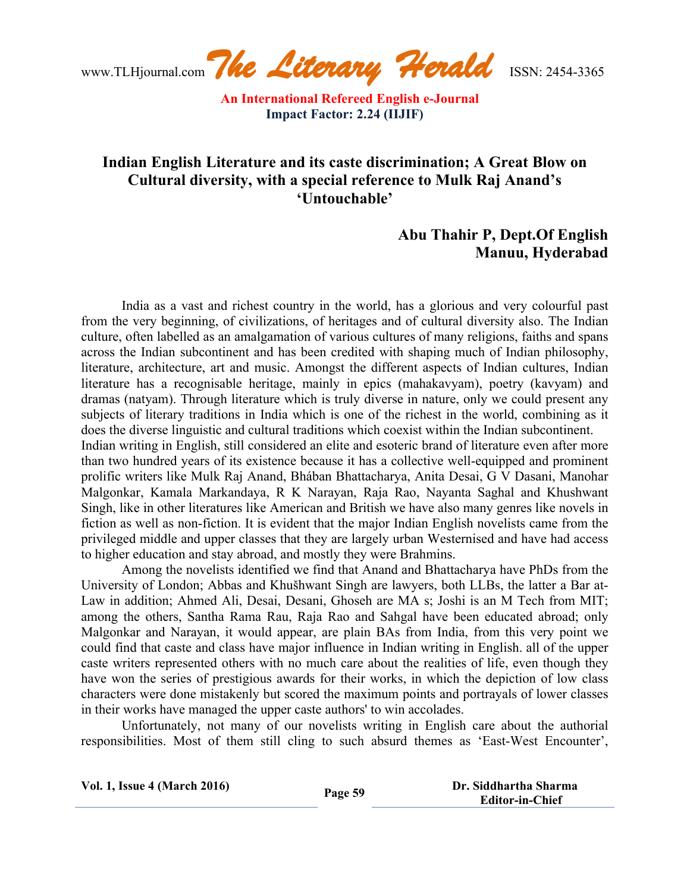www.TLHjournal.com*The Literary Herald*ISSN: 2454-3365

# **Indian English Literature and its caste discrimination; A Great Blow on Cultural diversity, with a special reference to Mulk Raj Anand's 'Untouchable'**

## **Abu Thahir P, Dept.Of English Manuu, Hyderabad**

India as a vast and richest country in the world, has a glorious and very colourful past from the very beginning, of civilizations, of heritages and of cultural diversity also. The Indian culture, often labelled as an amalgamation of various cultures of many religions, faiths and spans across the Indian subcontinent and has been credited with shaping much of Indian philosophy, literature, architecture, art and music. Amongst the different aspects of Indian cultures, Indian literature has a recognisable heritage, mainly in epics (mahakavyam), poetry (kavyam) and dramas (natyam). Through literature which is truly diverse in nature, only we could present any subjects of literary traditions in India which is one of the richest in the world, combining as it does the diverse linguistic and cultural traditions which coexist within the Indian subcontinent.

Indian writing in English, still considered an elite and esoteric brand of literature even after more than two hundred years of its existence because it has a collective well-equipped and prominent prolific writers like Mulk Raj Anand, Bhában Bhattacharya, Anita Desai, G V Dasani, Manohar Malgonkar, Kamala Markandaya, R K Narayan, Raja Rao, Nayanta Saghal and Khushwant Singh, like in other literatures like American and British we have also many genres like novels in fiction as well as non-fiction. It is evident that the major Indian English novelists came from the privileged middle and upper classes that they are largely urban Westernised and have had access to higher education and stay abroad, and mostly they were Brahmins.

Among the novelists identified we find that Anand and Bhattacharya have PhDs from the University of London; Abbas and Khušhwant Singh are lawyers, both LLBs, the latter a Bar at-Law in addition; Ahmed Ali, Desai, Desani, Ghoseh are MA s; Joshi is an M Tech from MIT; among the others, Santha Rama Rau, Raja Rao and Sahgal have been educated abroad; only Malgonkar and Narayan, it would appear, are plain BAs from India, from this very point we could find that caste and class have major influence in Indian writing in English. all of the upper caste writers represented others with no much care about the realities of life, even though they have won the series of prestigious awards for their works, in which the depiction of low class characters were done mistakenly but scored the maximum points and portrayals of lower classes in their works have managed the upper caste authors' to win accolades.

Unfortunately, not many of our novelists writing in English care about the authorial responsibilities. Most of them still cling to such absurd themes as 'East-West Encounter',

| <b>Vol. 1, Issue 4 (March 2016)</b> | Page 59 | Dr. Siddhartha Sharma  |
|-------------------------------------|---------|------------------------|
|                                     |         | <b>Editor-in-Chief</b> |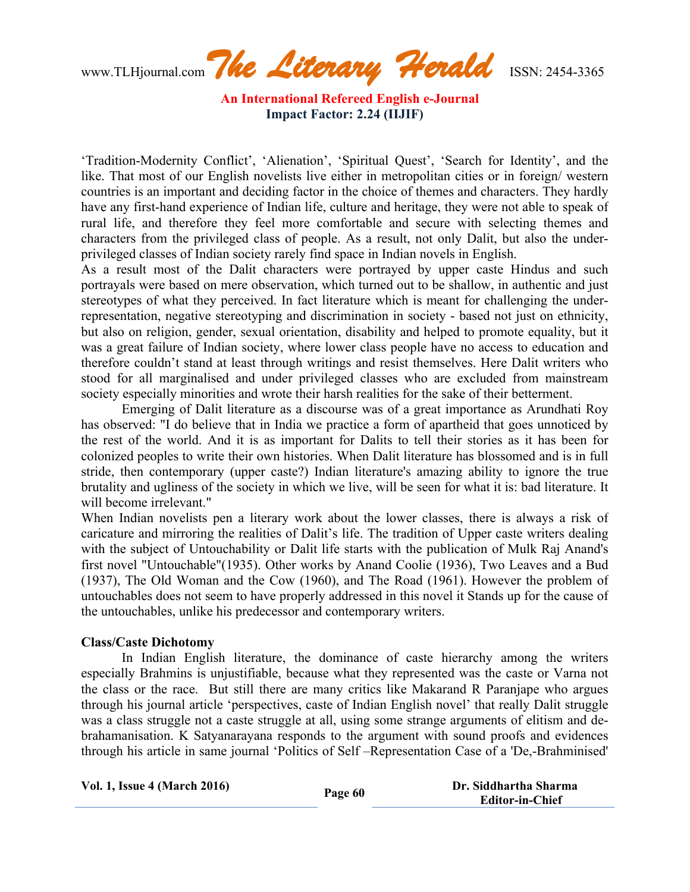www.TLHjournal.com*The Literary Herald*ISSN: 2454-3365

'Tradition-Modernity Conflict', 'Alienation', 'Spiritual Quest', 'Search for Identity', and the like. That most of our English novelists live either in metropolitan cities or in foreign/ western countries is an important and deciding factor in the choice of themes and characters. They hardly have any first-hand experience of Indian life, culture and heritage, they were not able to speak of rural life, and therefore they feel more comfortable and secure with selecting themes and characters from the privileged class of people. As a result, not only Dalit, but also the underprivileged classes of Indian society rarely find space in Indian novels in English.

As a result most of the Dalit characters were portrayed by upper caste Hindus and such portrayals were based on mere observation, which turned out to be shallow, in authentic and just stereotypes of what they perceived. In fact literature which is meant for challenging the underrepresentation, negative stereotyping and discrimination in society - based not just on ethnicity, but also on religion, gender, sexual orientation, disability and helped to promote equality, but it was a great failure of Indian society, where lower class people have no access to education and therefore couldn't stand at least through writings and resist themselves. Here Dalit writers who stood for all marginalised and under privileged classes who are excluded from mainstream society especially minorities and wrote their harsh realities for the sake of their betterment.

Emerging of Dalit literature as a discourse was of a great importance as Arundhati Roy has observed: "I do believe that in India we practice a form of apartheid that goes unnoticed by the rest of the world. And it is as important for Dalits to tell their stories as it has been for colonized peoples to write their own histories. When Dalit literature has blossomed and is in full stride, then contemporary (upper caste?) Indian literature's amazing ability to ignore the true brutality and ugliness of the society in which we live, will be seen for what it is: bad literature. It will become irrelevant."

When Indian novelists pen a literary work about the lower classes, there is always a risk of caricature and mirroring the realities of Dalit's life. The tradition of Upper caste writers dealing with the subject of Untouchability or Dalit life starts with the publication of Mulk Raj Anand's first novel "Untouchable"(1935). Other works by Anand Coolie (1936), Two Leaves and a Bud (1937), The Old Woman and the Cow (1960), and The Road (1961). However the problem of untouchables does not seem to have properly addressed in this novel it Stands up for the cause of the untouchables, unlike his predecessor and contemporary writers.

#### **Class/Caste Dichotomy**

In Indian English literature, the dominance of caste hierarchy among the writers especially Brahmins is unjustifiable, because what they represented was the caste or Varna not the class or the race. But still there are many critics like Makarand R Paranjape who argues through his journal article 'perspectives, caste of Indian English novel' that really Dalit struggle was a class struggle not a caste struggle at all, using some strange arguments of elitism and debrahamanisation. K Satyanarayana responds to the argument with sound proofs and evidences through his article in same journal 'Politics of Self –Representation Case of a 'De,-Brahminised'

| <b>Vol. 1, Issue 4 (March 2016)</b> | Page 60 | Dr. Siddhartha Sharma  |
|-------------------------------------|---------|------------------------|
|                                     |         | <b>Editor-in-Chief</b> |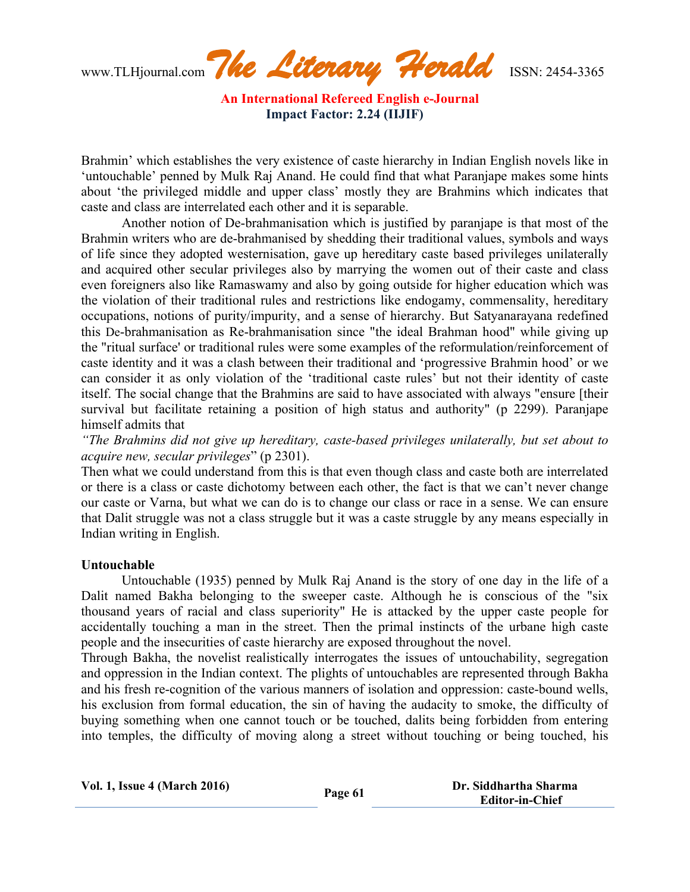www.TLHjournal.com*The Literary Herald*ISSN: 2454-3365

Brahmin' which establishes the very existence of caste hierarchy in Indian English novels like in 'untouchable' penned by Mulk Raj Anand. He could find that what Paranjape makes some hints about 'the privileged middle and upper class' mostly they are Brahmins which indicates that caste and class are interrelated each other and it is separable.

Another notion of De-brahmanisation which is justified by paranjape is that most of the Brahmin writers who are de-brahmanised by shedding their traditional values, symbols and ways of life since they adopted westernisation, gave up hereditary caste based privileges unilaterally and acquired other secular privileges also by marrying the women out of their caste and class even foreigners also like Ramaswamy and also by going outside for higher education which was the violation of their traditional rules and restrictions like endogamy, commensality, hereditary occupations, notions of purity/impurity, and a sense of hierarchy. But Satyanarayana redefined this De-brahmanisation as Re-brahmanisation since "the ideal Brahman hood" while giving up the "ritual surface' or traditional rules were some examples of the reformulation/reinforcement of caste identity and it was a clash between their traditional and 'progressive Brahmin hood' or we can consider it as only violation of the 'traditional caste rules' but not their identity of caste itself. The social change that the Brahmins are said to have associated with always "ensure [their survival but facilitate retaining a position of high status and authority" (p 2299). Paranjape himself admits that

*"The Brahmins did not give up hereditary, caste-based privileges unilaterally, but set about to acquire new, secular privileges*" (p 2301).

Then what we could understand from this is that even though class and caste both are interrelated or there is a class or caste dichotomy between each other, the fact is that we can't never change our caste or Varna, but what we can do is to change our class or race in a sense. We can ensure that Dalit struggle was not a class struggle but it was a caste struggle by any means especially in Indian writing in English.

#### **Untouchable**

Untouchable (1935) penned by Mulk Raj Anand is the story of one day in the life of a Dalit named Bakha belonging to the sweeper caste. Although he is conscious of the "six thousand years of racial and class superiority" He is attacked by the upper caste people for accidentally touching a man in the street. Then the primal instincts of the urbane high caste people and the insecurities of caste hierarchy are exposed throughout the novel.

Through Bakha, the novelist realistically interrogates the issues of untouchability, segregation and oppression in the Indian context. The plights of untouchables are represented through Bakha and his fresh re-cognition of the various manners of isolation and oppression: caste-bound wells, his exclusion from formal education, the sin of having the audacity to smoke, the difficulty of buying something when one cannot touch or be touched, dalits being forbidden from entering into temples, the difficulty of moving along a street without touching or being touched, his

| <b>Vol. 1, Issue 4 (March 2016)</b> | Page 61 | Dr. Siddhartha Sharma  |
|-------------------------------------|---------|------------------------|
|                                     |         | <b>Editor-in-Chief</b> |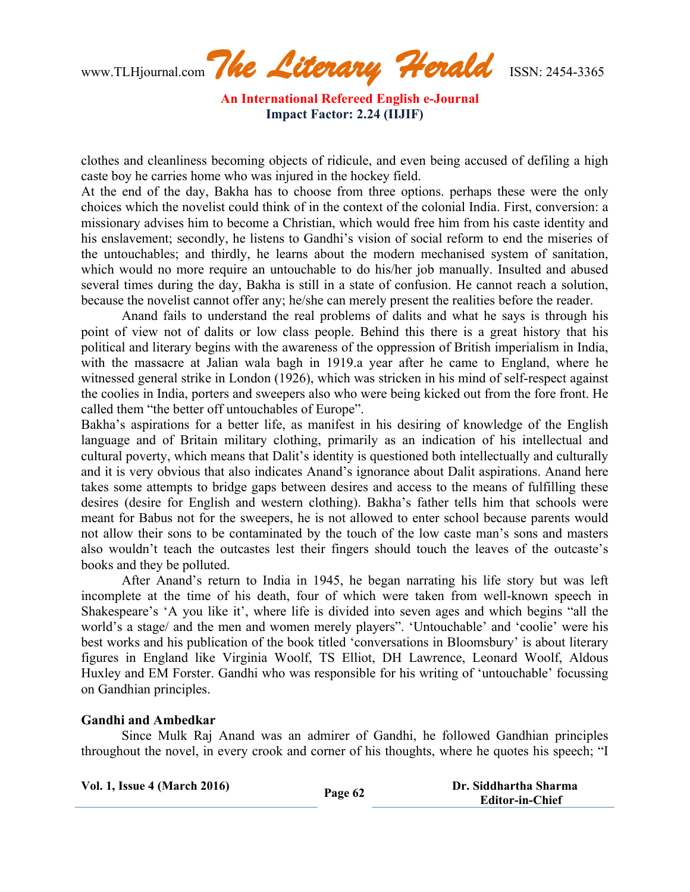www.TLHjournal.com*The Literary Herald*ISSN: 2454-3365

clothes and cleanliness becoming objects of ridicule, and even being accused of defiling a high caste boy he carries home who was injured in the hockey field.

At the end of the day, Bakha has to choose from three options. perhaps these were the only choices which the novelist could think of in the context of the colonial India. First, conversion: a missionary advises him to become a Christian, which would free him from his caste identity and his enslavement; secondly, he listens to Gandhi's vision of social reform to end the miseries of the untouchables; and thirdly, he learns about the modern mechanised system of sanitation, which would no more require an untouchable to do his/her job manually. Insulted and abused several times during the day, Bakha is still in a state of confusion. He cannot reach a solution, because the novelist cannot offer any; he/she can merely present the realities before the reader.

Anand fails to understand the real problems of dalits and what he says is through his point of view not of dalits or low class people. Behind this there is a great history that his political and literary begins with the awareness of the oppression of British imperialism in India, with the massacre at Jalian wala bagh in 1919.a year after he came to England, where he witnessed general strike in London (1926), which was stricken in his mind of self-respect against the coolies in India, porters and sweepers also who were being kicked out from the fore front. He called them "the better off untouchables of Europe".

Bakha's aspirations for a better life, as manifest in his desiring of knowledge of the English language and of Britain military clothing, primarily as an indication of his intellectual and cultural poverty, which means that Dalit's identity is questioned both intellectually and culturally and it is very obvious that also indicates Anand's ignorance about Dalit aspirations. Anand here takes some attempts to bridge gaps between desires and access to the means of fulfilling these desires (desire for English and western clothing). Bakha's father tells him that schools were meant for Babus not for the sweepers, he is not allowed to enter school because parents would not allow their sons to be contaminated by the touch of the low caste man's sons and masters also wouldn't teach the outcastes lest their fingers should touch the leaves of the outcaste's books and they be polluted.

After Anand's return to India in 1945, he began narrating his life story but was left incomplete at the time of his death, four of which were taken from well-known speech in Shakespeare's 'A you like it', where life is divided into seven ages and which begins "all the world's a stage/ and the men and women merely players". 'Untouchable' and 'coolie' were his best works and his publication of the book titled 'conversations in Bloomsbury' is about literary figures in England like Virginia Woolf, TS Elliot, DH Lawrence, Leonard Woolf, Aldous Huxley and EM Forster. Gandhi who was responsible for his writing of 'untouchable' focussing on Gandhian principles.

## **Gandhi and Ambedkar**

Since Mulk Raj Anand was an admirer of Gandhi, he followed Gandhian principles throughout the novel, in every crook and corner of his thoughts, where he quotes his speech; "I

| <b>Vol. 1, Issue 4 (March 2016)</b> | Page 62 | Dr. Siddhartha Sharma  |
|-------------------------------------|---------|------------------------|
|                                     |         | <b>Editor-in-Chief</b> |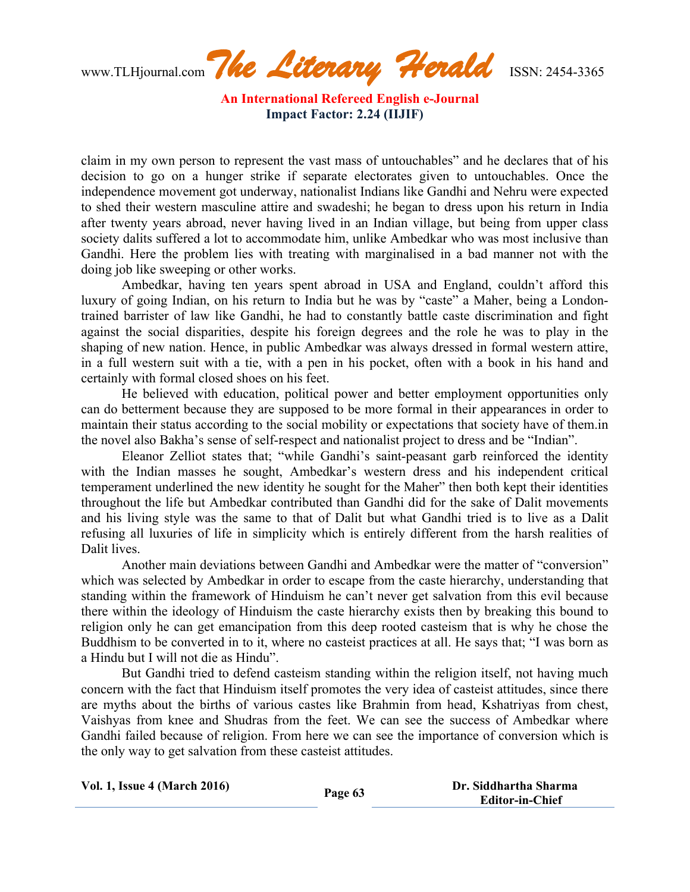www.TLHjournal.com*The Literary Herald*ISSN: 2454-3365

claim in my own person to represent the vast mass of untouchables" and he declares that of his decision to go on a hunger strike if separate electorates given to untouchables. Once the independence movement got underway, nationalist Indians like Gandhi and Nehru were expected to shed their western masculine attire and swadeshi; he began to dress upon his return in India after twenty years abroad, never having lived in an Indian village, but being from upper class society dalits suffered a lot to accommodate him, unlike Ambedkar who was most inclusive than Gandhi. Here the problem lies with treating with marginalised in a bad manner not with the doing job like sweeping or other works.

Ambedkar, having ten years spent abroad in USA and England, couldn't afford this luxury of going Indian, on his return to India but he was by "caste" a Maher, being a Londontrained barrister of law like Gandhi, he had to constantly battle caste discrimination and fight against the social disparities, despite his foreign degrees and the role he was to play in the shaping of new nation. Hence, in public Ambedkar was always dressed in formal western attire, in a full western suit with a tie, with a pen in his pocket, often with a book in his hand and certainly with formal closed shoes on his feet.

He believed with education, political power and better employment opportunities only can do betterment because they are supposed to be more formal in their appearances in order to maintain their status according to the social mobility or expectations that society have of them.in the novel also Bakha's sense of self-respect and nationalist project to dress and be "Indian".

Eleanor Zelliot states that; "while Gandhi's saint-peasant garb reinforced the identity with the Indian masses he sought, Ambedkar's western dress and his independent critical temperament underlined the new identity he sought for the Maher" then both kept their identities throughout the life but Ambedkar contributed than Gandhi did for the sake of Dalit movements and his living style was the same to that of Dalit but what Gandhi tried is to live as a Dalit refusing all luxuries of life in simplicity which is entirely different from the harsh realities of Dalit lives.

Another main deviations between Gandhi and Ambedkar were the matter of "conversion" which was selected by Ambedkar in order to escape from the caste hierarchy, understanding that standing within the framework of Hinduism he can't never get salvation from this evil because there within the ideology of Hinduism the caste hierarchy exists then by breaking this bound to religion only he can get emancipation from this deep rooted casteism that is why he chose the Buddhism to be converted in to it, where no casteist practices at all. He says that; "I was born as a Hindu but I will not die as Hindu".

But Gandhi tried to defend casteism standing within the religion itself, not having much concern with the fact that Hinduism itself promotes the very idea of casteist attitudes, since there are myths about the births of various castes like Brahmin from head, Kshatriyas from chest, Vaishyas from knee and Shudras from the feet. We can see the success of Ambedkar where Gandhi failed because of religion. From here we can see the importance of conversion which is the only way to get salvation from these casteist attitudes.

| <b>Vol. 1, Issue 4 (March 2016)</b> | Page 63 | Dr. Siddhartha Sharma |
|-------------------------------------|---------|-----------------------|
|                                     |         | Editor-in-Chief       |